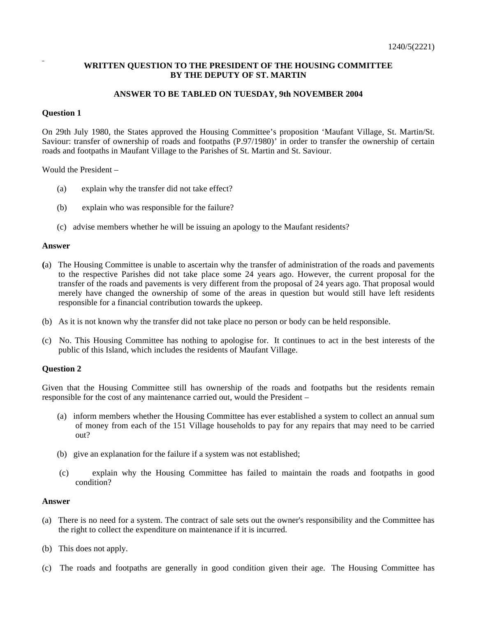# **WRITTEN QUESTION TO THE PRESIDENT OF THE HOUSING COMMITTEE BY THE DEPUTY OF ST. MARTIN**

# **ANSWER TO BE TABLED ON TUESDAY, 9th NOVEMBER 2004**

## **Question 1**

On 29th July 1980, the States approved the Housing Committee's proposition 'Maufant Village, St. Martin/St. Saviour: transfer of ownership of roads and footpaths (P.97/1980)' in order to transfer the ownership of certain roads and footpaths in Maufant Village to the Parishes of St. Martin and St. Saviour.

Would the President –

- (a) explain why the transfer did not take effect?
- (b) explain who was responsible for the failure?
- (c) advise members whether he will be issuing an apology to the Maufant residents?

### **Answer**

- **(**a) The Housing Committee is unable to ascertain why the transfer of administration of the roads and pavements to the respective Parishes did not take place some 24 years ago. However, the current proposal for the transfer of the roads and pavements is very different from the proposal of 24 years ago. That proposal would merely have changed the ownership of some of the areas in question but would still have left residents responsible for a financial contribution towards the upkeep.
- (b) As it is not known why the transfer did not take place no person or body can be held responsible.
- (c) No. This Housing Committee has nothing to apologise for. It continues to act in the best interests of the public of this Island, which includes the residents of Maufant Village.

## **Question 2**

Given that the Housing Committee still has ownership of the roads and footpaths but the residents remain responsible for the cost of any maintenance carried out, would the President –

- (a) inform members whether the Housing Committee has ever established a system to collect an annual sum of money from each of the 151 Village households to pay for any repairs that may need to be carried out?
- (b) give an explanation for the failure if a system was not established;
- (c) explain why the Housing Committee has failed to maintain the roads and footpaths in good condition?

## **Answer**

- (a) There is no need for a system. The contract of sale sets out the owner's responsibility and the Committee has the right to collect the expenditure on maintenance if it is incurred.
- (b) This does not apply.
- (c) The roads and footpaths are generally in good condition given their age. The Housing Committee has